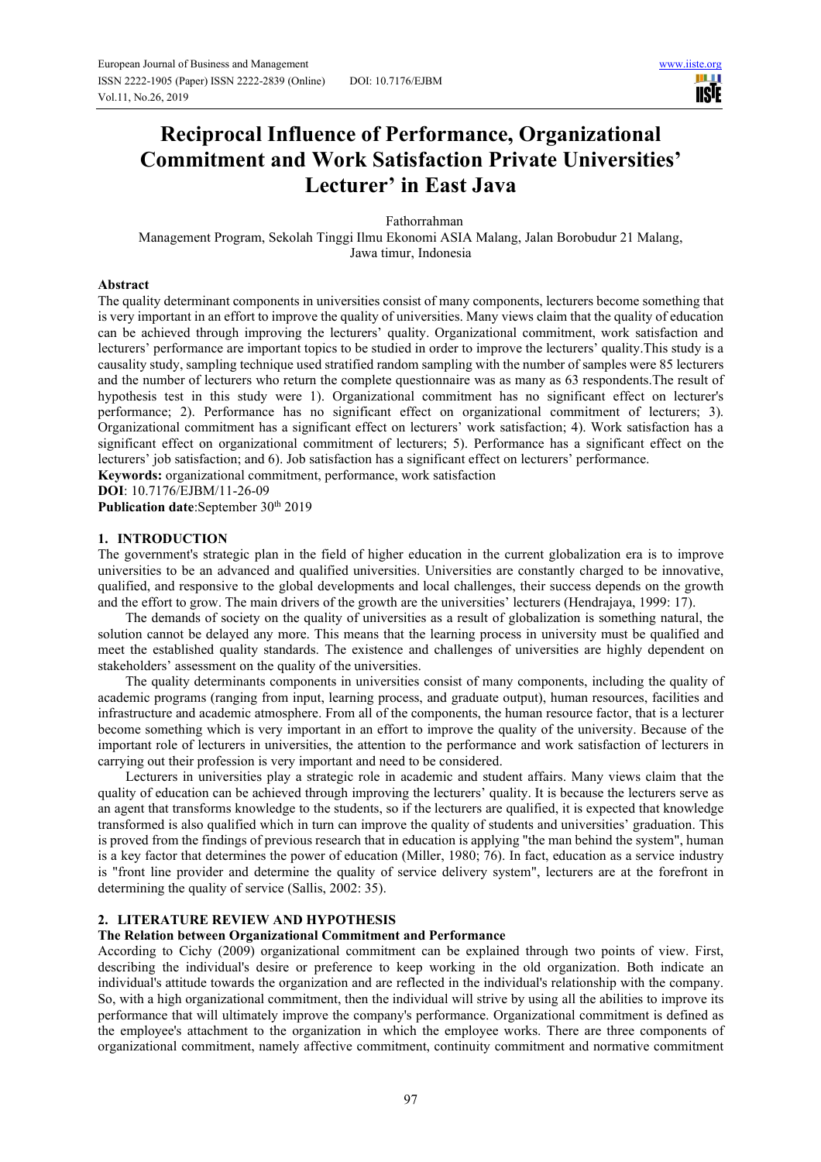HH I **IISTE** 

# **Reciprocal Influence of Performance, Organizational Commitment and Work Satisfaction Private Universities' Lecturer' in East Java**

Fathorrahman

Management Program, Sekolah Tinggi Ilmu Ekonomi ASIA Malang, Jalan Borobudur 21 Malang, Jawa timur, Indonesia

### **Abstract**

The quality determinant components in universities consist of many components, lecturers become something that is very important in an effort to improve the quality of universities. Many views claim that the quality of education can be achieved through improving the lecturers' quality. Organizational commitment, work satisfaction and lecturers' performance are important topics to be studied in order to improve the lecturers' quality.This study is a causality study, sampling technique used stratified random sampling with the number of samples were 85 lecturers and the number of lecturers who return the complete questionnaire was as many as 63 respondents.The result of hypothesis test in this study were 1). Organizational commitment has no significant effect on lecturer's performance; 2). Performance has no significant effect on organizational commitment of lecturers; 3). Organizational commitment has a significant effect on lecturers' work satisfaction; 4). Work satisfaction has a significant effect on organizational commitment of lecturers; 5). Performance has a significant effect on the lecturers' job satisfaction; and 6). Job satisfaction has a significant effect on lecturers' performance.

**Keywords:** organizational commitment, performance, work satisfaction

**DOI**: 10.7176/EJBM/11-26-09

Publication date:September 30<sup>th</sup> 2019

### **1. INTRODUCTION**

The government's strategic plan in the field of higher education in the current globalization era is to improve universities to be an advanced and qualified universities. Universities are constantly charged to be innovative, qualified, and responsive to the global developments and local challenges, their success depends on the growth and the effort to grow. The main drivers of the growth are the universities' lecturers (Hendrajaya, 1999: 17).

The demands of society on the quality of universities as a result of globalization is something natural, the solution cannot be delayed any more. This means that the learning process in university must be qualified and meet the established quality standards. The existence and challenges of universities are highly dependent on stakeholders' assessment on the quality of the universities.

The quality determinants components in universities consist of many components, including the quality of academic programs (ranging from input, learning process, and graduate output), human resources, facilities and infrastructure and academic atmosphere. From all of the components, the human resource factor, that is a lecturer become something which is very important in an effort to improve the quality of the university. Because of the important role of lecturers in universities, the attention to the performance and work satisfaction of lecturers in carrying out their profession is very important and need to be considered.

Lecturers in universities play a strategic role in academic and student affairs. Many views claim that the quality of education can be achieved through improving the lecturers' quality. It is because the lecturers serve as an agent that transforms knowledge to the students, so if the lecturers are qualified, it is expected that knowledge transformed is also qualified which in turn can improve the quality of students and universities' graduation. This is proved from the findings of previous research that in education is applying "the man behind the system", human is a key factor that determines the power of education (Miller, 1980; 76). In fact, education as a service industry is "front line provider and determine the quality of service delivery system", lecturers are at the forefront in determining the quality of service (Sallis, 2002: 35).

### **2. LITERATURE REVIEW AND HYPOTHESIS**

### **The Relation between Organizational Commitment and Performance**

According to Cichy (2009) organizational commitment can be explained through two points of view. First, describing the individual's desire or preference to keep working in the old organization. Both indicate an individual's attitude towards the organization and are reflected in the individual's relationship with the company. So, with a high organizational commitment, then the individual will strive by using all the abilities to improve its performance that will ultimately improve the company's performance. Organizational commitment is defined as the employee's attachment to the organization in which the employee works. There are three components of organizational commitment, namely affective commitment, continuity commitment and normative commitment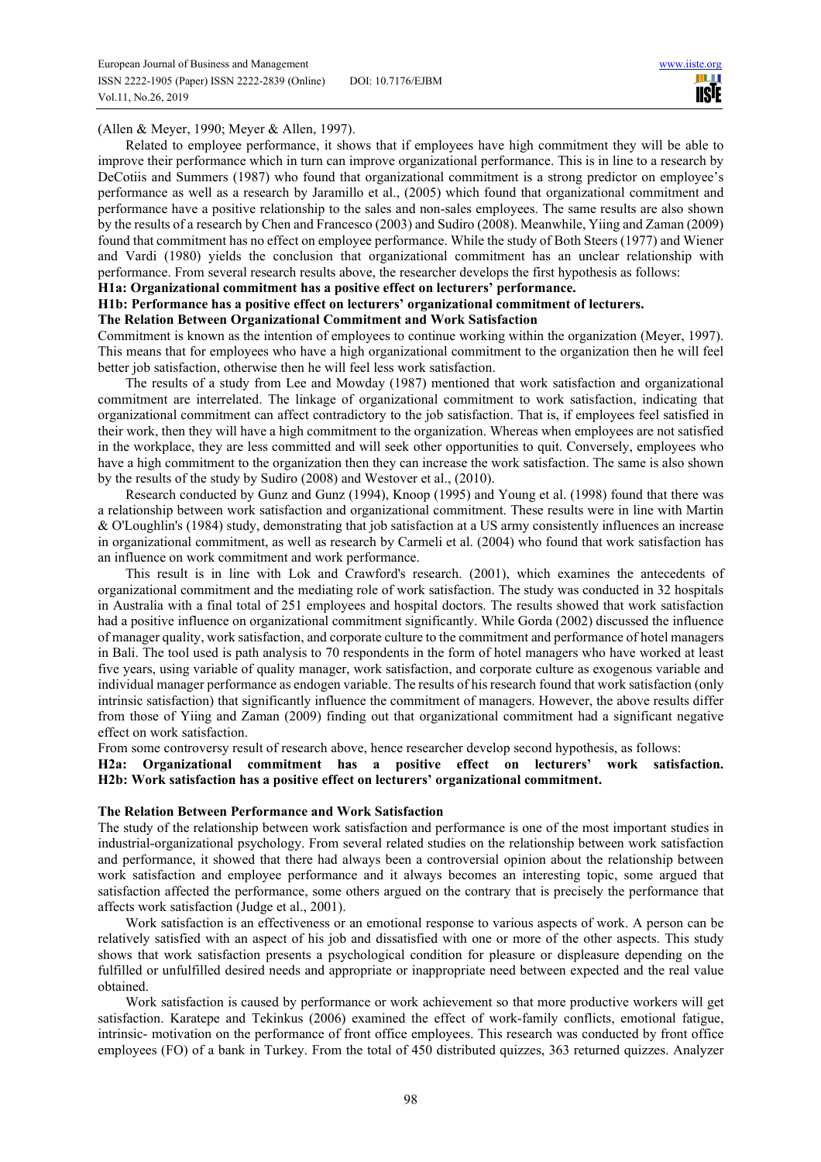ш **IISTE** 

(Allen & Meyer, 1990; Meyer & Allen, 1997).

Related to employee performance, it shows that if employees have high commitment they will be able to improve their performance which in turn can improve organizational performance. This is in line to a research by DeCotiis and Summers (1987) who found that organizational commitment is a strong predictor on employee's performance as well as a research by Jaramillo et al., (2005) which found that organizational commitment and performance have a positive relationship to the sales and non-sales employees. The same results are also shown by the results of a research by Chen and Francesco (2003) and Sudiro (2008). Meanwhile, Yiing and Zaman (2009) found that commitment has no effect on employee performance. While the study of Both Steers (1977) and Wiener and Vardi (1980) yields the conclusion that organizational commitment has an unclear relationship with performance. From several research results above, the researcher develops the first hypothesis as follows:

### **H1a: Organizational commitment has a positive effect on lecturers' performance.**

### **H1b: Performance has a positive effect on lecturers' organizational commitment of lecturers.**

### **The Relation Between Organizational Commitment and Work Satisfaction**

Commitment is known as the intention of employees to continue working within the organization (Meyer, 1997). This means that for employees who have a high organizational commitment to the organization then he will feel better job satisfaction, otherwise then he will feel less work satisfaction.

The results of a study from Lee and Mowday (1987) mentioned that work satisfaction and organizational commitment are interrelated. The linkage of organizational commitment to work satisfaction, indicating that organizational commitment can affect contradictory to the job satisfaction. That is, if employees feel satisfied in their work, then they will have a high commitment to the organization. Whereas when employees are not satisfied in the workplace, they are less committed and will seek other opportunities to quit. Conversely, employees who have a high commitment to the organization then they can increase the work satisfaction. The same is also shown by the results of the study by Sudiro (2008) and Westover et al., (2010).

Research conducted by Gunz and Gunz (1994), Knoop (1995) and Young et al. (1998) found that there was a relationship between work satisfaction and organizational commitment. These results were in line with Martin & O'Loughlin's (1984) study, demonstrating that job satisfaction at a US army consistently influences an increase in organizational commitment, as well as research by Carmeli et al. (2004) who found that work satisfaction has an influence on work commitment and work performance.

This result is in line with Lok and Crawford's research. (2001), which examines the antecedents of organizational commitment and the mediating role of work satisfaction. The study was conducted in 32 hospitals in Australia with a final total of 251 employees and hospital doctors. The results showed that work satisfaction had a positive influence on organizational commitment significantly. While Gorda (2002) discussed the influence of manager quality, work satisfaction, and corporate culture to the commitment and performance of hotel managers in Bali. The tool used is path analysis to 70 respondents in the form of hotel managers who have worked at least five years, using variable of quality manager, work satisfaction, and corporate culture as exogenous variable and individual manager performance as endogen variable. The results of his research found that work satisfaction (only intrinsic satisfaction) that significantly influence the commitment of managers. However, the above results differ from those of Yiing and Zaman (2009) finding out that organizational commitment had a significant negative effect on work satisfaction.

From some controversy result of research above, hence researcher develop second hypothesis, as follows:

### **H2a: Organizational commitment has a positive effect on lecturers' work satisfaction. H2b: Work satisfaction has a positive effect on lecturers' organizational commitment.**

### **The Relation Between Performance and Work Satisfaction**

The study of the relationship between work satisfaction and performance is one of the most important studies in industrial-organizational psychology. From several related studies on the relationship between work satisfaction and performance, it showed that there had always been a controversial opinion about the relationship between work satisfaction and employee performance and it always becomes an interesting topic, some argued that satisfaction affected the performance, some others argued on the contrary that is precisely the performance that affects work satisfaction (Judge et al., 2001).

Work satisfaction is an effectiveness or an emotional response to various aspects of work. A person can be relatively satisfied with an aspect of his job and dissatisfied with one or more of the other aspects. This study shows that work satisfaction presents a psychological condition for pleasure or displeasure depending on the fulfilled or unfulfilled desired needs and appropriate or inappropriate need between expected and the real value obtained.

Work satisfaction is caused by performance or work achievement so that more productive workers will get satisfaction. Karatepe and Tekinkus (2006) examined the effect of work-family conflicts, emotional fatigue, intrinsic- motivation on the performance of front office employees. This research was conducted by front office employees (FO) of a bank in Turkey. From the total of 450 distributed quizzes, 363 returned quizzes. Analyzer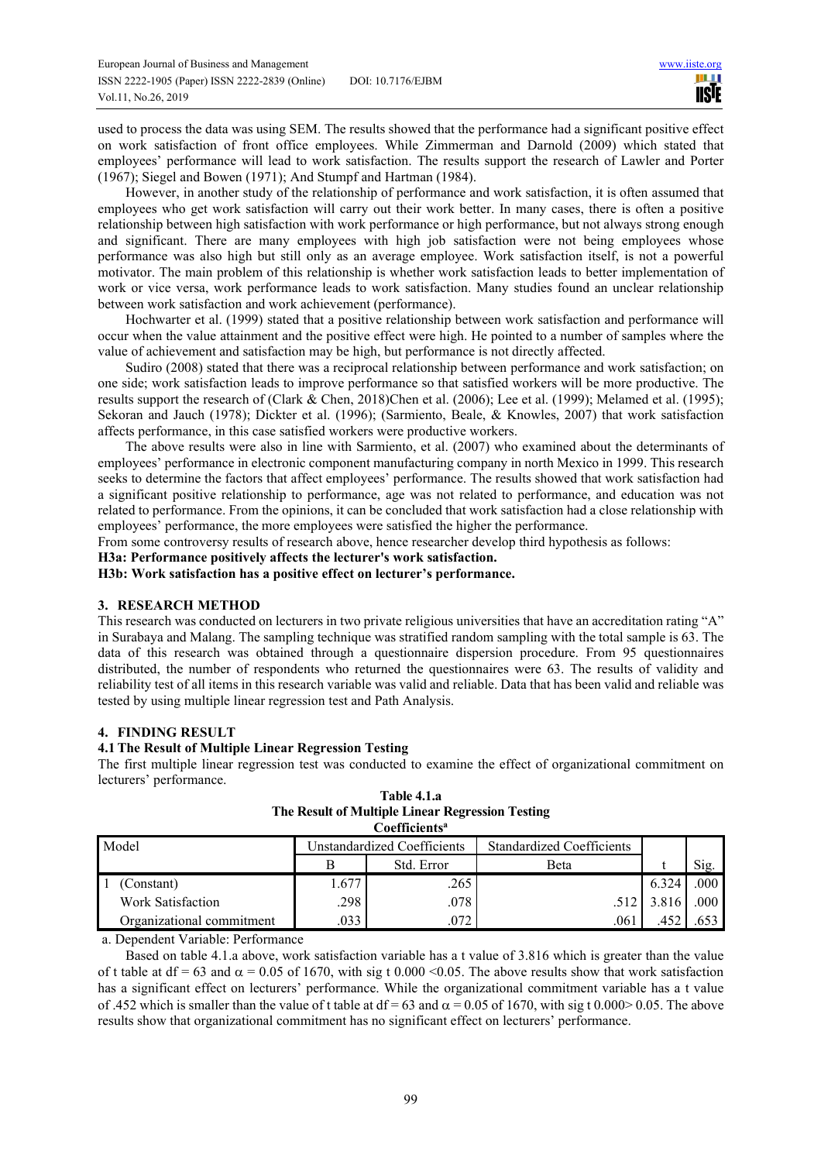used to process the data was using SEM. The results showed that the performance had a significant positive effect on work satisfaction of front office employees. While Zimmerman and Darnold (2009) which stated that employees' performance will lead to work satisfaction. The results support the research of Lawler and Porter (1967); Siegel and Bowen (1971); And Stumpf and Hartman (1984).

However, in another study of the relationship of performance and work satisfaction, it is often assumed that employees who get work satisfaction will carry out their work better. In many cases, there is often a positive relationship between high satisfaction with work performance or high performance, but not always strong enough and significant. There are many employees with high job satisfaction were not being employees whose performance was also high but still only as an average employee. Work satisfaction itself, is not a powerful motivator. The main problem of this relationship is whether work satisfaction leads to better implementation of work or vice versa, work performance leads to work satisfaction. Many studies found an unclear relationship between work satisfaction and work achievement (performance).

Hochwarter et al. (1999) stated that a positive relationship between work satisfaction and performance will occur when the value attainment and the positive effect were high. He pointed to a number of samples where the value of achievement and satisfaction may be high, but performance is not directly affected.

Sudiro (2008) stated that there was a reciprocal relationship between performance and work satisfaction; on one side; work satisfaction leads to improve performance so that satisfied workers will be more productive. The results support the research of (Clark & Chen, 2018)Chen et al. (2006); Lee et al. (1999); Melamed et al. (1995); Sekoran and Jauch (1978); Dickter et al. (1996); (Sarmiento, Beale, & Knowles, 2007) that work satisfaction affects performance, in this case satisfied workers were productive workers.

The above results were also in line with Sarmiento, et al. (2007) who examined about the determinants of employees' performance in electronic component manufacturing company in north Mexico in 1999. This research seeks to determine the factors that affect employees' performance. The results showed that work satisfaction had a significant positive relationship to performance, age was not related to performance, and education was not related to performance. From the opinions, it can be concluded that work satisfaction had a close relationship with employees' performance, the more employees were satisfied the higher the performance.

From some controversy results of research above, hence researcher develop third hypothesis as follows:

**H3a: Performance positively affects the lecturer's work satisfaction.** 

**H3b: Work satisfaction has a positive effect on lecturer's performance.** 

### **3. RESEARCH METHOD**

This research was conducted on lecturers in two private religious universities that have an accreditation rating "A" in Surabaya and Malang. The sampling technique was stratified random sampling with the total sample is 63. The data of this research was obtained through a questionnaire dispersion procedure. From 95 questionnaires distributed, the number of respondents who returned the questionnaires were 63. The results of validity and reliability test of all items in this research variable was valid and reliable. Data that has been valid and reliable was tested by using multiple linear regression test and Path Analysis.

### **4. FINDING RESULT**

### **4.1The Result of Multiple Linear Regression Testing**

The first multiple linear regression test was conducted to examine the effect of organizational commitment on lecturers' performance.

| Coefficientsª             |                             |            |                                  |       |      |  |  |  |
|---------------------------|-----------------------------|------------|----------------------------------|-------|------|--|--|--|
| Model                     | Unstandardized Coefficients |            | <b>Standardized Coefficients</b> |       |      |  |  |  |
|                           |                             | Std. Error | <b>B</b> eta                     |       | Sig. |  |  |  |
| (Constant)                | 1.677                       | .265       |                                  | 6.324 | .000 |  |  |  |
| Work Satisfaction         | .298                        | .078       |                                  | 3.816 | .000 |  |  |  |
| Organizational commitment | .033                        | .072       | .061                             |       |      |  |  |  |

**Table 4.1.a The Result of Multiple Linear Regression Testing** 

a. Dependent Variable: Performance

Based on table 4.1.a above, work satisfaction variable has a t value of 3.816 which is greater than the value of t table at df = 63 and  $\alpha$  = 0.05 of 1670, with sig t 0.000 <0.05. The above results show that work satisfaction has a significant effect on lecturers' performance. While the organizational commitment variable has a t value of .452 which is smaller than the value of t table at df = 63 and  $\alpha$  = 0.05 of 1670, with sig t 0.000 > 0.05. The above results show that organizational commitment has no significant effect on lecturers' performance.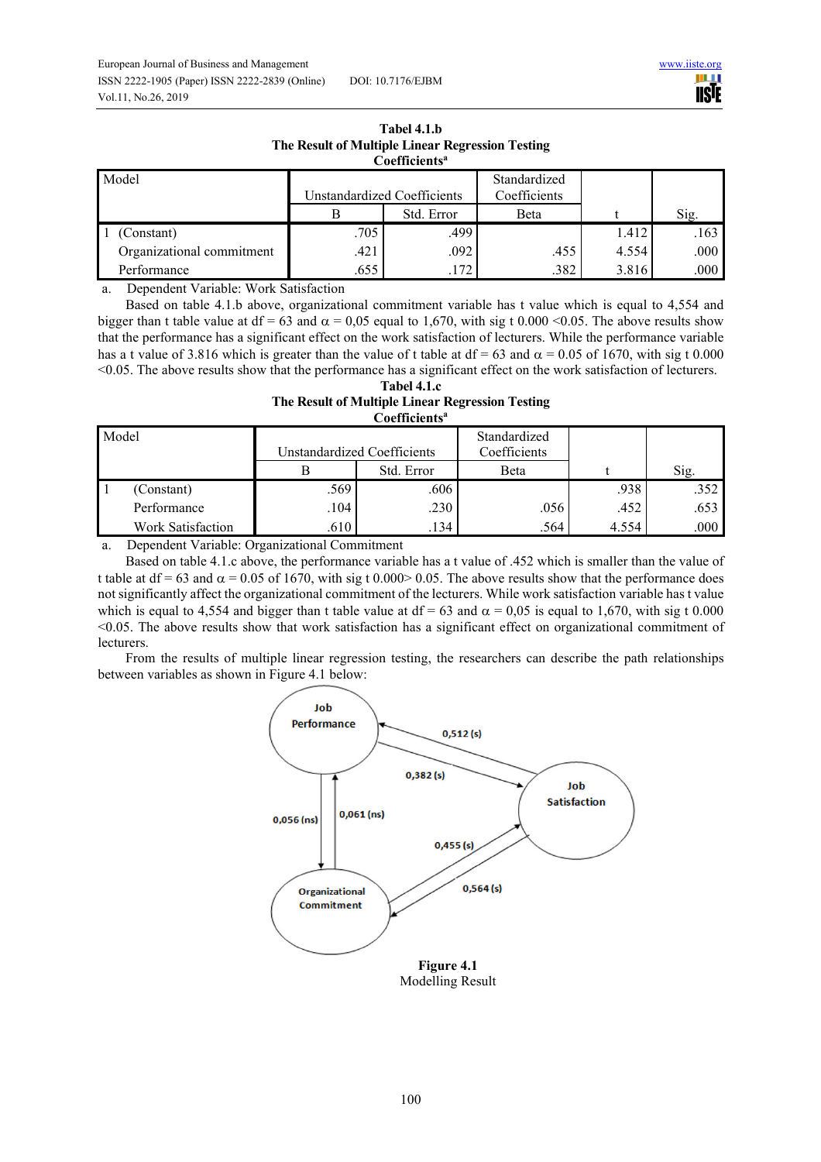

| THE INESUIT OF PERIQUE EMICAL INEZEESSION TESUME<br>Coefficients <sup>a</sup> |                             |            |                              |       |      |  |  |  |
|-------------------------------------------------------------------------------|-----------------------------|------------|------------------------------|-------|------|--|--|--|
| Model                                                                         | Unstandardized Coefficients |            | Standardized<br>Coefficients |       |      |  |  |  |
|                                                                               | В                           | Std. Error | Beta                         |       | Sig. |  |  |  |
| (Constant)                                                                    | .705                        | .499       |                              | 1.412 | .163 |  |  |  |
| Organizational commitment                                                     | .421                        | .092       | .455                         | 4.554 | .000 |  |  |  |
| Performance                                                                   | .655                        | .172       | .382                         | 3.816 | .000 |  |  |  |

# **Tabel 4.1.b The Result of Multiple Linear Regression Testing**

a. Dependent Variable: Work Satisfaction

Based on table 4.1.b above, organizational commitment variable has t value which is equal to 4,554 and bigger than t table value at df = 63 and  $\alpha$  = 0,05 equal to 1,670, with sig t 0.000 <0.05. The above results show that the performance has a significant effect on the work satisfaction of lecturers. While the performance variable has a t value of 3.816 which is greater than the value of t table at df = 63 and  $\alpha$  = 0.05 of 1670, with sig t 0.000 <0.05. The above results show that the performance has a significant effect on the work satisfaction of lecturers. **Tabel 4.1.c** 

| 1 avu 7.1.V                                      |
|--------------------------------------------------|
| The Result of Multiple Linear Regression Testing |
| Coefficients <sup>a</sup>                        |

| Model             | Unstandardized Coefficients |            | Standardized<br>Coefficients |       |      |
|-------------------|-----------------------------|------------|------------------------------|-------|------|
|                   |                             | Std. Error | Beta                         |       | Sig. |
| (Constant)        | .569                        | .606       |                              | .938  | .352 |
| Performance       | .104                        | .230       | .056                         | .452  | .653 |
| Work Satisfaction | .610                        | .134       | .564                         | 4.554 | .000 |

a. Dependent Variable: Organizational Commitment

Based on table 4.1.c above, the performance variable has a t value of .452 which is smaller than the value of t table at df = 63 and  $\alpha$  = 0.05 of 1670, with sig t 0.000> 0.05. The above results show that the performance does not significantly affect the organizational commitment of the lecturers. While work satisfaction variable has t value which is equal to 4,554 and bigger than t table value at  $df = 63$  and  $\alpha = 0.05$  is equal to 1,670, with sig t 0.000 <0.05. The above results show that work satisfaction has a significant effect on organizational commitment of lecturers.

From the results of multiple linear regression testing, the researchers can describe the path relationships between variables as shown in Figure 4.1 below:



Modelling Result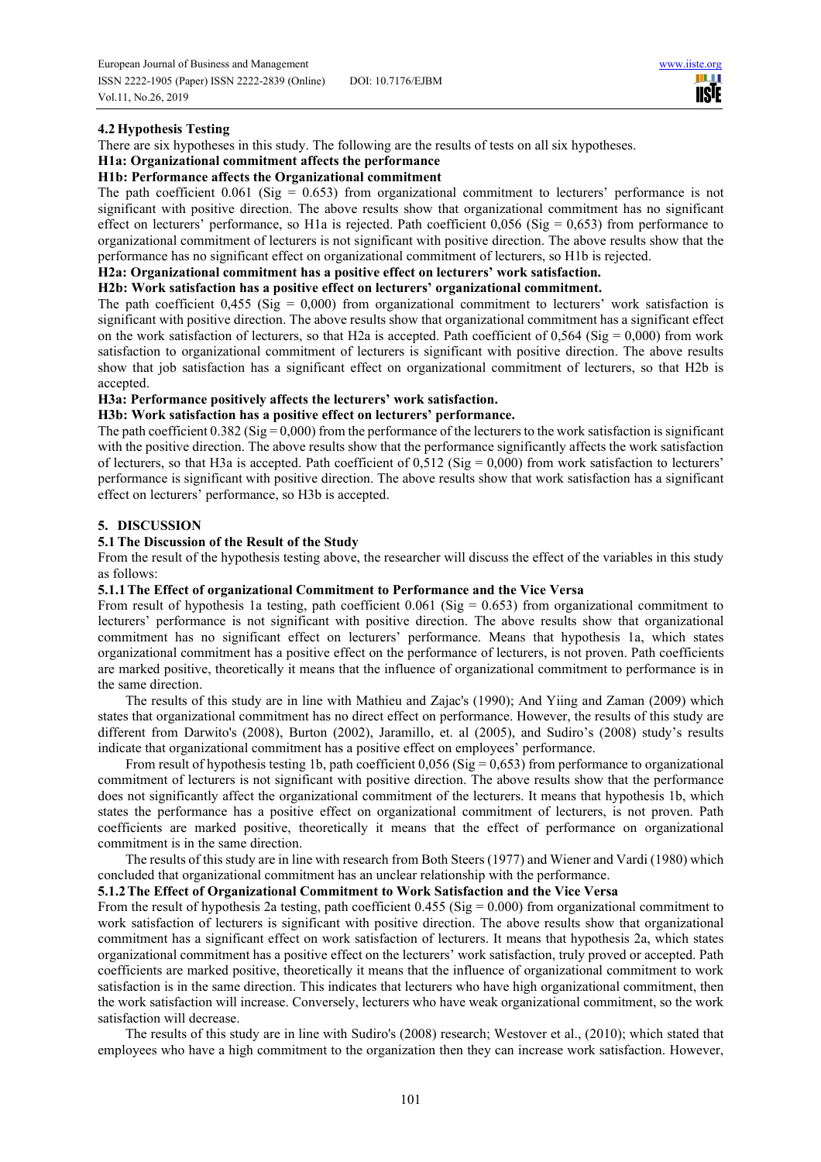HH I **IISTE** 

### **4.2 Hypothesis Testing**

There are six hypotheses in this study. The following are the results of tests on all six hypotheses.

## **H1a: Organizational commitment affects the performance**

### **H1b: Performance affects the Organizational commitment**

The path coefficient  $0.061$  (Sig = 0.653) from organizational commitment to lecturers' performance is not significant with positive direction. The above results show that organizational commitment has no significant effect on lecturers' performance, so H1a is rejected. Path coefficient  $0.056$  (Sig =  $0.653$ ) from performance to organizational commitment of lecturers is not significant with positive direction. The above results show that the performance has no significant effect on organizational commitment of lecturers, so H1b is rejected.

### **H2a: Organizational commitment has a positive effect on lecturers' work satisfaction.**

### **H2b: Work satisfaction has a positive effect on lecturers' organizational commitment.**

The path coefficient  $0.455$  (Sig = 0,000) from organizational commitment to lecturers' work satisfaction is significant with positive direction. The above results show that organizational commitment has a significant effect on the work satisfaction of lecturers, so that H2a is accepted. Path coefficient of  $0,564$  (Sig =  $0,000$ ) from work satisfaction to organizational commitment of lecturers is significant with positive direction. The above results show that job satisfaction has a significant effect on organizational commitment of lecturers, so that H2b is accepted.

### **H3a: Performance positively affects the lecturers' work satisfaction.**

### **H3b: Work satisfaction has a positive effect on lecturers' performance.**

The path coefficient  $0.382$  (Sig = 0,000) from the performance of the lecturers to the work satisfaction is significant with the positive direction. The above results show that the performance significantly affects the work satisfaction of lecturers, so that H3a is accepted. Path coefficient of  $0.512$  (Sig = 0,000) from work satisfaction to lecturers' performance is significant with positive direction. The above results show that work satisfaction has a significant effect on lecturers' performance, so H3b is accepted.

### **5. DISCUSSION**

### **5.1The Discussion of the Result of the Study**

From the result of the hypothesis testing above, the researcher will discuss the effect of the variables in this study as follows:

### **5.1.1The Effect of organizational Commitment to Performance and the Vice Versa**

From result of hypothesis 1a testing, path coefficient  $0.061$  (Sig = 0.653) from organizational commitment to lecturers' performance is not significant with positive direction. The above results show that organizational commitment has no significant effect on lecturers' performance. Means that hypothesis 1a, which states organizational commitment has a positive effect on the performance of lecturers, is not proven. Path coefficients are marked positive, theoretically it means that the influence of organizational commitment to performance is in the same direction.

The results of this study are in line with Mathieu and Zajac's (1990); And Yiing and Zaman (2009) which states that organizational commitment has no direct effect on performance. However, the results of this study are different from Darwito's (2008), Burton (2002), Jaramillo, et. al (2005), and Sudiro's (2008) study's results indicate that organizational commitment has a positive effect on employees' performance.

From result of hypothesis testing 1b, path coefficient  $0.056$  (Sig = 0.653) from performance to organizational commitment of lecturers is not significant with positive direction. The above results show that the performance does not significantly affect the organizational commitment of the lecturers. It means that hypothesis 1b, which states the performance has a positive effect on organizational commitment of lecturers, is not proven. Path coefficients are marked positive, theoretically it means that the effect of performance on organizational commitment is in the same direction.

The results of this study are in line with research from Both Steers (1977) and Wiener and Vardi (1980) which concluded that organizational commitment has an unclear relationship with the performance.

### **5.1.2The Effect of Organizational Commitment to Work Satisfaction and the Vice Versa**

From the result of hypothesis 2a testing, path coefficient 0.455 (Sig = 0.000) from organizational commitment to work satisfaction of lecturers is significant with positive direction. The above results show that organizational commitment has a significant effect on work satisfaction of lecturers. It means that hypothesis 2a, which states organizational commitment has a positive effect on the lecturers' work satisfaction, truly proved or accepted. Path coefficients are marked positive, theoretically it means that the influence of organizational commitment to work satisfaction is in the same direction. This indicates that lecturers who have high organizational commitment, then the work satisfaction will increase. Conversely, lecturers who have weak organizational commitment, so the work satisfaction will decrease.

The results of this study are in line with Sudiro's (2008) research; Westover et al., (2010); which stated that employees who have a high commitment to the organization then they can increase work satisfaction. However,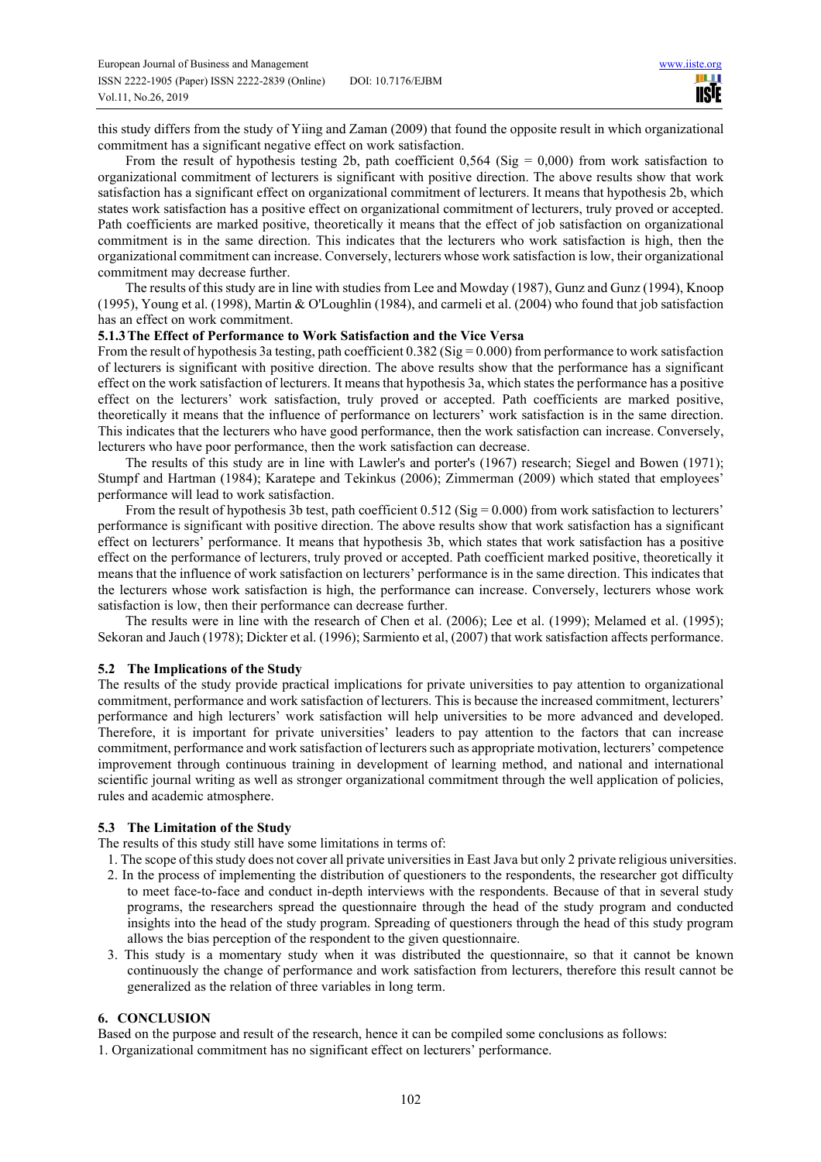this study differs from the study of Yiing and Zaman (2009) that found the opposite result in which organizational commitment has a significant negative effect on work satisfaction.

From the result of hypothesis testing 2b, path coefficient  $0,564$  (Sig = 0,000) from work satisfaction to organizational commitment of lecturers is significant with positive direction. The above results show that work satisfaction has a significant effect on organizational commitment of lecturers. It means that hypothesis 2b, which states work satisfaction has a positive effect on organizational commitment of lecturers, truly proved or accepted. Path coefficients are marked positive, theoretically it means that the effect of job satisfaction on organizational commitment is in the same direction. This indicates that the lecturers who work satisfaction is high, then the organizational commitment can increase. Conversely, lecturers whose work satisfaction is low, their organizational commitment may decrease further.

The results of this study are in line with studies from Lee and Mowday (1987), Gunz and Gunz (1994), Knoop (1995), Young et al. (1998), Martin & O'Loughlin (1984), and carmeli et al. (2004) who found that job satisfaction has an effect on work commitment.

### **5.1.3The Effect of Performance to Work Satisfaction and the Vice Versa**

From the result of hypothesis 3a testing, path coefficient  $0.382$  (Sig = 0.000) from performance to work satisfaction of lecturers is significant with positive direction. The above results show that the performance has a significant effect on the work satisfaction of lecturers. It means that hypothesis 3a, which states the performance has a positive effect on the lecturers' work satisfaction, truly proved or accepted. Path coefficients are marked positive, theoretically it means that the influence of performance on lecturers' work satisfaction is in the same direction. This indicates that the lecturers who have good performance, then the work satisfaction can increase. Conversely, lecturers who have poor performance, then the work satisfaction can decrease.

The results of this study are in line with Lawler's and porter's (1967) research; Siegel and Bowen (1971); Stumpf and Hartman (1984); Karatepe and Tekinkus (2006); Zimmerman (2009) which stated that employees' performance will lead to work satisfaction.

From the result of hypothesis 3b test, path coefficient  $0.512$  (Sig = 0.000) from work satisfaction to lecturers' performance is significant with positive direction. The above results show that work satisfaction has a significant effect on lecturers' performance. It means that hypothesis 3b, which states that work satisfaction has a positive effect on the performance of lecturers, truly proved or accepted. Path coefficient marked positive, theoretically it means that the influence of work satisfaction on lecturers' performance is in the same direction. This indicates that the lecturers whose work satisfaction is high, the performance can increase. Conversely, lecturers whose work satisfaction is low, then their performance can decrease further.

The results were in line with the research of Chen et al. (2006); Lee et al. (1999); Melamed et al. (1995); Sekoran and Jauch (1978); Dickter et al. (1996); Sarmiento et al, (2007) that work satisfaction affects performance.

### **5.2 The Implications of the Study**

The results of the study provide practical implications for private universities to pay attention to organizational commitment, performance and work satisfaction of lecturers. This is because the increased commitment, lecturers' performance and high lecturers' work satisfaction will help universities to be more advanced and developed. Therefore, it is important for private universities' leaders to pay attention to the factors that can increase commitment, performance and work satisfaction of lecturers such as appropriate motivation, lecturers' competence improvement through continuous training in development of learning method, and national and international scientific journal writing as well as stronger organizational commitment through the well application of policies, rules and academic atmosphere.

### **5.3 The Limitation of the Study**

The results of this study still have some limitations in terms of:

- 1. The scope of this study does not cover all private universities in East Java but only 2 private religious universities. 2. In the process of implementing the distribution of questioners to the respondents, the researcher got difficulty to meet face-to-face and conduct in-depth interviews with the respondents. Because of that in several study programs, the researchers spread the questionnaire through the head of the study program and conducted insights into the head of the study program. Spreading of questioners through the head of this study program allows the bias perception of the respondent to the given questionnaire.
- 3. This study is a momentary study when it was distributed the questionnaire, so that it cannot be known continuously the change of performance and work satisfaction from lecturers, therefore this result cannot be generalized as the relation of three variables in long term.

### **6. CONCLUSION**

Based on the purpose and result of the research, hence it can be compiled some conclusions as follows:

1. Organizational commitment has no significant effect on lecturers' performance.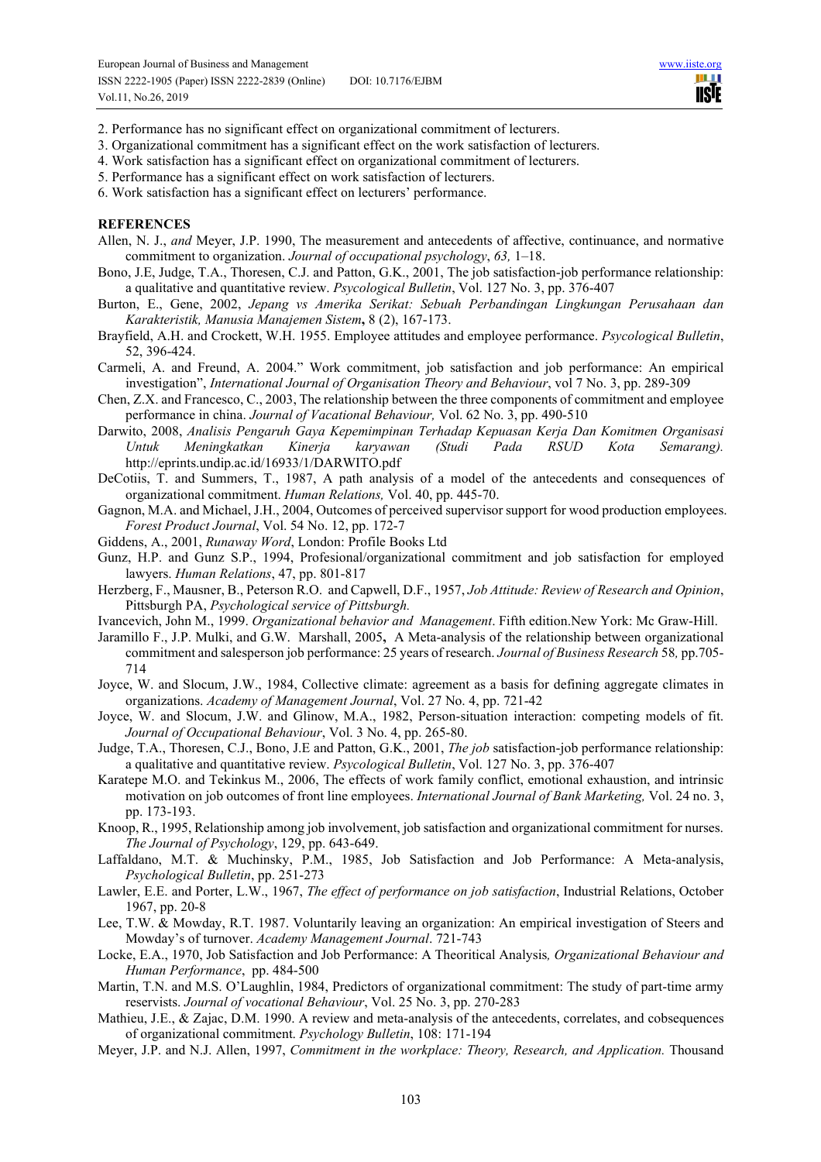**TILL TISTE** 

- 2. Performance has no significant effect on organizational commitment of lecturers.
- 3. Organizational commitment has a significant effect on the work satisfaction of lecturers.
- 4. Work satisfaction has a significant effect on organizational commitment of lecturers.
- 5. Performance has a significant effect on work satisfaction of lecturers.

6. Work satisfaction has a significant effect on lecturers' performance.

### **REFERENCES**

- Allen, N. J., *and* Meyer, J.P. 1990, The measurement and antecedents of affective, continuance, and normative commitment to organization. *Journal of occupational psychology*, *63,* 1–18.
- Bono, J.E, Judge, T.A., Thoresen, C.J. and Patton, G.K., 2001, The job satisfaction-job performance relationship: a qualitative and quantitative review. *Psycological Bulletin*, Vol. 127 No. 3, pp. 376-407
- Burton, E., Gene, 2002, *Jepang vs Amerika Serikat: Sebuah Perbandingan Lingkungan Perusahaan dan Karakteristik, Manusia Manajemen Sistem***,** 8 (2), 167-173.
- Brayfield, A.H. and Crockett, W.H. 1955. Employee attitudes and employee performance. *Psycological Bulletin*, 52, 396-424.
- Carmeli, A. and Freund, A. 2004." Work commitment, job satisfaction and job performance: An empirical investigation", *International Journal of Organisation Theory and Behaviour*, vol 7 No. 3, pp. 289-309
- Chen, Z.X. and Francesco, C., 2003, The relationship between the three components of commitment and employee performance in china. *Journal of Vacational Behaviour,* Vol. 62 No. 3, pp. 490-510
- Darwito, 2008, *Analisis Pengaruh Gaya Kepemimpinan Terhadap Kepuasan Kerja Dan Komitmen Organisasi Untuk Meningkatkan Kinerja karyawan (Studi Pada RSUD Kota Semarang).* http://eprints.undip.ac.id/16933/1/DARWITO.pdf
- DeCotiis, T. and Summers, T., 1987, A path analysis of a model of the antecedents and consequences of organizational commitment. *Human Relations,* Vol. 40, pp. 445-70.
- Gagnon, M.A. and Michael, J.H., 2004, Outcomes of perceived supervisor support for wood production employees. *Forest Product Journal*, Vol. 54 No. 12, pp. 172-7
- Giddens, A., 2001, *Runaway Word*, London: Profile Books Ltd
- Gunz, H.P. and Gunz S.P., 1994, Profesional/organizational commitment and job satisfaction for employed lawyers. *Human Relations*, 47, pp. 801-817
- Herzberg, F., Mausner, B., Peterson R.O. and Capwell, D.F., 1957, *Job Attitude: Review of Research and Opinion*, Pittsburgh PA, *Psychological service of Pittsburgh.*
- Ivancevich, John M., 1999. *Organizational behavior and Management*. Fifth edition.New York: Mc Graw-Hill.
- Jaramillo F., J.P. Mulki, and G.W. Marshall, 2005**,** A Meta-analysis of the relationship between organizational commitment and salesperson job performance: 25 years of research. *Journal of Business Research* 58*,* pp.705- 714
- Joyce, W. and Slocum, J.W., 1984, Collective climate: agreement as a basis for defining aggregate climates in organizations. *Academy of Management Journal*, Vol. 27 No. 4, pp. 721-42
- Joyce, W. and Slocum, J.W. and Glinow, M.A., 1982, Person-situation interaction: competing models of fit. *Journal of Occupational Behaviour*, Vol. 3 No. 4, pp. 265-80.
- Judge, T.A., Thoresen, C.J., Bono, J.E and Patton, G.K., 2001, *The job* satisfaction-job performance relationship: a qualitative and quantitative review. *Psycological Bulletin*, Vol. 127 No. 3, pp. 376-407
- Karatepe M.O. and Tekinkus M., 2006, The effects of work family conflict, emotional exhaustion, and intrinsic motivation on job outcomes of front line employees. *International Journal of Bank Marketing,* Vol. 24 no. 3, pp. 173-193.
- Knoop, R., 1995, Relationship among job involvement, job satisfaction and organizational commitment for nurses. *The Journal of Psychology*, 129, pp. 643-649.
- Laffaldano, M.T. & Muchinsky, P.M., 1985, Job Satisfaction and Job Performance: A Meta-analysis, *Psychological Bulletin*, pp. 251-273
- Lawler, E.E. and Porter, L.W., 1967, *The effect of performance on job satisfaction*, Industrial Relations, October 1967, pp. 20-8
- Lee, T.W. & Mowday, R.T. 1987. Voluntarily leaving an organization: An empirical investigation of Steers and Mowday's of turnover. *Academy Management Journal*. 721-743
- Locke, E.A., 1970, Job Satisfaction and Job Performance: A Theoritical Analysis*, Organizational Behaviour and Human Performance*, pp. 484-500
- Martin, T.N. and M.S. O'Laughlin, 1984, Predictors of organizational commitment: The study of part-time army reservists. *Journal of vocational Behaviour*, Vol. 25 No. 3, pp. 270-283
- Mathieu, J.E., & Zajac, D.M. 1990. A review and meta-analysis of the antecedents, correlates, and cobsequences of organizational commitment. *Psychology Bulletin*, 108: 171-194
- Meyer, J.P. and N.J. Allen, 1997, *Commitment in the workplace: Theory, Research, and Application.* Thousand